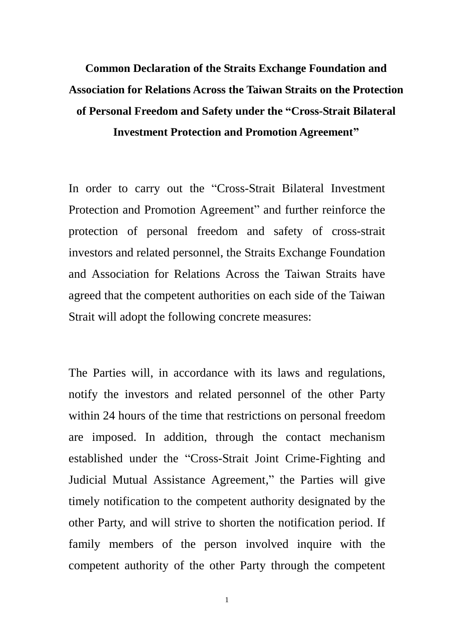## **Common Declaration of the Straits Exchange Foundation and Association for Relations Across the Taiwan Straits on the Protection of Personal Freedom and Safety under the "Cross-Strait Bilateral Investment Protection and Promotion Agreement"**

In order to carry out the "Cross-Strait Bilateral Investment Protection and Promotion Agreement" and further reinforce the protection of personal freedom and safety of cross-strait investors and related personnel, the Straits Exchange Foundation and Association for Relations Across the Taiwan Straits have agreed that the competent authorities on each side of the Taiwan Strait will adopt the following concrete measures:

The Parties will, in accordance with its laws and regulations, notify the investors and related personnel of the other Party within 24 hours of the time that restrictions on personal freedom are imposed. In addition, through the contact mechanism established under the "Cross-Strait Joint Crime-Fighting and Judicial Mutual Assistance Agreement," the Parties will give timely notification to the competent authority designated by the other Party, and will strive to shorten the notification period. If family members of the person involved inquire with the competent authority of the other Party through the competent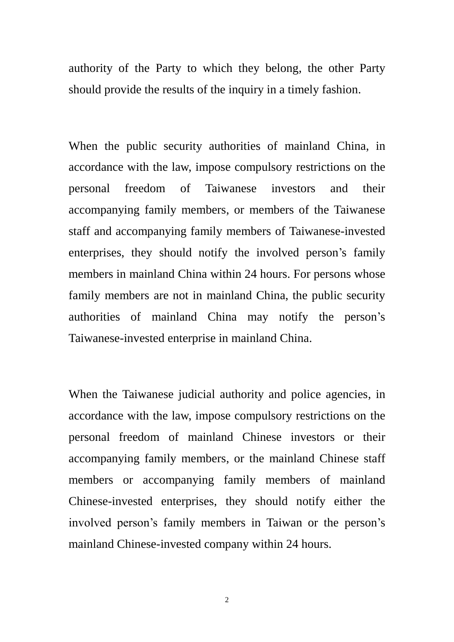authority of the Party to which they belong, the other Party should provide the results of the inquiry in a timely fashion.

When the public security authorities of mainland China, in accordance with the law, impose compulsory restrictions on the personal freedom of Taiwanese investors and their accompanying family members, or members of the Taiwanese staff and accompanying family members of Taiwanese-invested enterprises, they should notify the involved person's family members in mainland China within 24 hours. For persons whose family members are not in mainland China, the public security authorities of mainland China may notify the person's Taiwanese-invested enterprise in mainland China.

When the Taiwanese judicial authority and police agencies, in accordance with the law, impose compulsory restrictions on the personal freedom of mainland Chinese investors or their accompanying family members, or the mainland Chinese staff members or accompanying family members of mainland Chinese-invested enterprises, they should notify either the involved person's family members in Taiwan or the person's mainland Chinese-invested company within 24 hours.

2